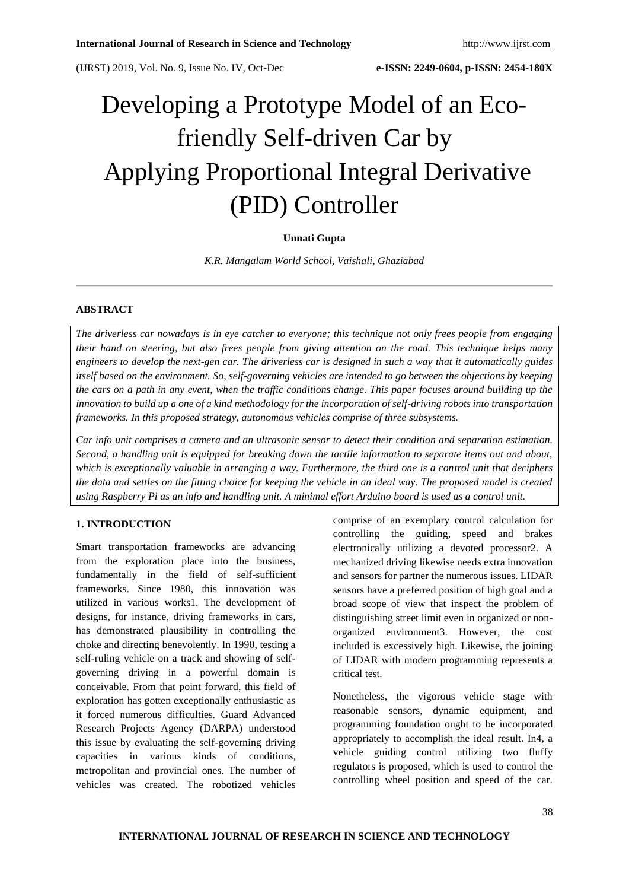# Developing a Prototype Model of an Ecofriendly Self-driven Car by Applying Proportional Integral Derivative (PID) Controller

# **Unnati Gupta**

*K.R. Mangalam World School, Vaishali, Ghaziabad*

# **ABSTRACT**

*The driverless car nowadays is in eye catcher to everyone; this technique not only frees people from engaging their hand on steering, but also frees people from giving attention on the road. This technique helps many engineers to develop the next-gen car. The driverless car is designed in such a way that it automatically guides itself based on the environment. So, self-governing vehicles are intended to go between the objections by keeping the cars on a path in any event, when the traffic conditions change. This paper focuses around building up the innovation to build up a one of a kind methodology for the incorporation of self-driving robots into transportation frameworks. In this proposed strategy, autonomous vehicles comprise of three subsystems.*

*Car info unit comprises a camera and an ultrasonic sensor to detect their condition and separation estimation. Second, a handling unit is equipped for breaking down the tactile information to separate items out and about, which is exceptionally valuable in arranging a way. Furthermore, the third one is a control unit that deciphers the data and settles on the fitting choice for keeping the vehicle in an ideal way. The proposed model is created using Raspberry Pi as an info and handling unit. A minimal effort Arduino board is used as a control unit.*

## **1. INTRODUCTION**

Smart transportation frameworks are advancing from the exploration place into the business, fundamentally in the field of self-sufficient frameworks. Since 1980, this innovation was utilized in various works1. The development of designs, for instance, driving frameworks in cars, has demonstrated plausibility in controlling the choke and directing benevolently. In 1990, testing a self-ruling vehicle on a track and showing of selfgoverning driving in a powerful domain is conceivable. From that point forward, this field of exploration has gotten exceptionally enthusiastic as it forced numerous difficulties. Guard Advanced Research Projects Agency (DARPA) understood this issue by evaluating the self-governing driving capacities in various kinds of conditions, metropolitan and provincial ones. The number of vehicles was created. The robotized vehicles

comprise of an exemplary control calculation for controlling the guiding, speed and brakes electronically utilizing a devoted processor2. A mechanized driving likewise needs extra innovation and sensors for partner the numerous issues. LIDAR sensors have a preferred position of high goal and a broad scope of view that inspect the problem of distinguishing street limit even in organized or nonorganized environment3. However, the cost included is excessively high. Likewise, the joining of LIDAR with modern programming represents a critical test.

Nonetheless, the vigorous vehicle stage with reasonable sensors, dynamic equipment, and programming foundation ought to be incorporated appropriately to accomplish the ideal result. In4, a vehicle guiding control utilizing two fluffy regulators is proposed, which is used to control the controlling wheel position and speed of the car.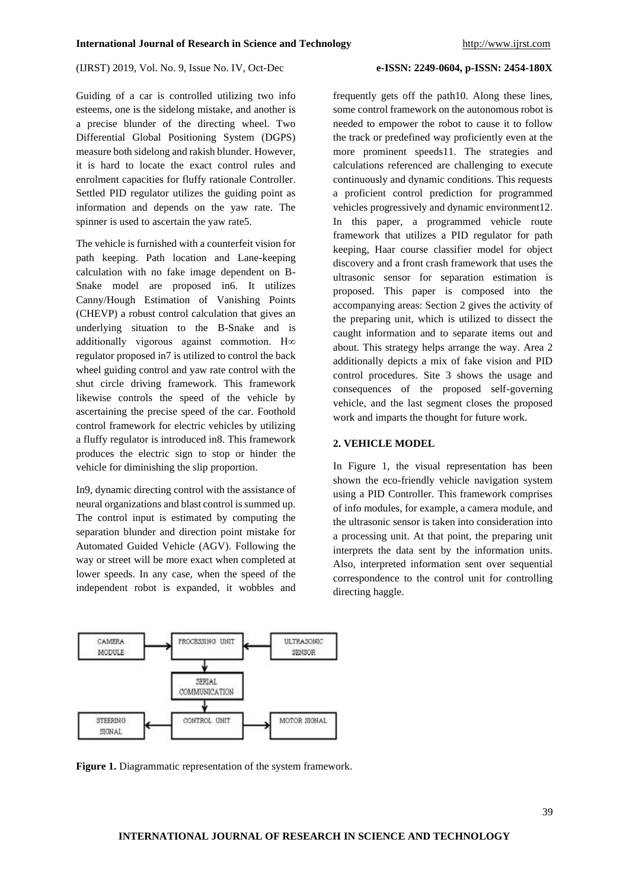Guiding of a car is controlled utilizing two info esteems, one is the sidelong mistake, and another is a precise blunder of the directing wheel. Two Differential Global Positioning System (DGPS) measure both sidelong and rakish blunder. However, it is hard to locate the exact control rules and enrolment capacities for fluffy rationale Controller. Settled PID regulator utilizes the guiding point as information and depends on the yaw rate. The spinner is used to ascertain the yaw rate5.

The vehicle is furnished with a counterfeit vision for path keeping. Path location and Lane-keeping calculation with no fake image dependent on B-Snake model are proposed in6. It utilizes Canny/Hough Estimation of Vanishing Points (CHEVP) a robust control calculation that gives an underlying situation to the B-Snake and is additionally vigorous against commotion. H∞ regulator proposed in7 is utilized to control the back wheel guiding control and yaw rate control with the shut circle driving framework. This framework likewise controls the speed of the vehicle by ascertaining the precise speed of the car. Foothold control framework for electric vehicles by utilizing a fluffy regulator is introduced in8. This framework produces the electric sign to stop or hinder the vehicle for diminishing the slip proportion.

In9, dynamic directing control with the assistance of neural organizations and blast control is summed up. The control input is estimated by computing the separation blunder and direction point mistake for Automated Guided Vehicle (AGV). Following the way or street will be more exact when completed at lower speeds. In any case, when the speed of the independent robot is expanded, it wobbles and

frequently gets off the path10. Along these lines, some control framework on the autonomous robot is needed to empower the robot to cause it to follow the track or predefined way proficiently even at the more prominent speeds11. The strategies and calculations referenced are challenging to execute continuously and dynamic conditions. This requests a proficient control prediction for programmed vehicles progressively and dynamic environment12. In this paper, a programmed vehicle route framework that utilizes a PID regulator for path keeping, Haar course classifier model for object discovery and a front crash framework that uses the ultrasonic sensor for separation estimation is proposed. This paper is composed into the accompanying areas: Section 2 gives the activity of the preparing unit, which is utilized to dissect the caught information and to separate items out and about. This strategy helps arrange the way. Area 2 additionally depicts a mix of fake vision and PID control procedures. Site 3 shows the usage and consequences of the proposed self-governing vehicle, and the last segment closes the proposed work and imparts the thought for future work.

# **2. VEHICLE MODEL**

In Figure 1, the visual representation has been shown the eco-friendly vehicle navigation system using a PID Controller. This framework comprises of info modules, for example, a camera module, and the ultrasonic sensor is taken into consideration into a processing unit. At that point, the preparing unit interprets the data sent by the information units. Also, interpreted information sent over sequential correspondence to the control unit for controlling directing haggle.



**Figure 1.** Diagrammatic representation of the system framework.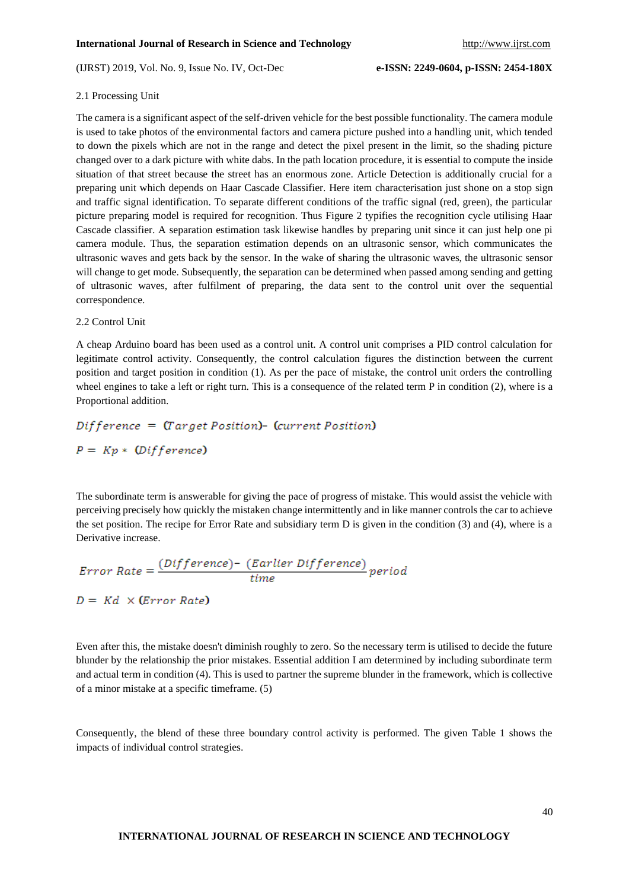## 2.1 Processing Unit

The camera is a significant aspect of the self-driven vehicle for the best possible functionality. The camera module is used to take photos of the environmental factors and camera picture pushed into a handling unit, which tended to down the pixels which are not in the range and detect the pixel present in the limit, so the shading picture changed over to a dark picture with white dabs. In the path location procedure, it is essential to compute the inside situation of that street because the street has an enormous zone. Article Detection is additionally crucial for a preparing unit which depends on Haar Cascade Classifier. Here item characterisation just shone on a stop sign and traffic signal identification. To separate different conditions of the traffic signal (red, green), the particular picture preparing model is required for recognition. Thus Figure 2 typifies the recognition cycle utilising Haar Cascade classifier. A separation estimation task likewise handles by preparing unit since it can just help one pi camera module. Thus, the separation estimation depends on an ultrasonic sensor, which communicates the ultrasonic waves and gets back by the sensor. In the wake of sharing the ultrasonic waves, the ultrasonic sensor will change to get mode. Subsequently, the separation can be determined when passed among sending and getting of ultrasonic waves, after fulfilment of preparing, the data sent to the control unit over the sequential correspondence.

#### 2.2 Control Unit

A cheap Arduino board has been used as a control unit. A control unit comprises a PID control calculation for legitimate control activity. Consequently, the control calculation figures the distinction between the current position and target position in condition (1). As per the pace of mistake, the control unit orders the controlling wheel engines to take a left or right turn. This is a consequence of the related term P in condition (2), where is a Proportional addition.

 $Different$  =  $Target Position$  - (current Position)  $P = Kp * (Difference)$ 

The subordinate term is answerable for giving the pace of progress of mistake. This would assist the vehicle with perceiving precisely how quickly the mistaken change intermittently and in like manner controls the car to achieve the set position. The recipe for Error Rate and subsidiary term D is given in the condition (3) and (4), where is a Derivative increase.

$$
Error Rate = \frac{(Difference) - (Earlier Difference)}{time} \cdot (Exercise \times (Error Rate)
$$

Even after this, the mistake doesn't diminish roughly to zero. So the necessary term is utilised to decide the future blunder by the relationship the prior mistakes. Essential addition I am determined by including subordinate term and actual term in condition (4). This is used to partner the supreme blunder in the framework, which is collective of a minor mistake at a specific timeframe. (5)

Consequently, the blend of these three boundary control activity is performed. The given Table 1 shows the impacts of individual control strategies.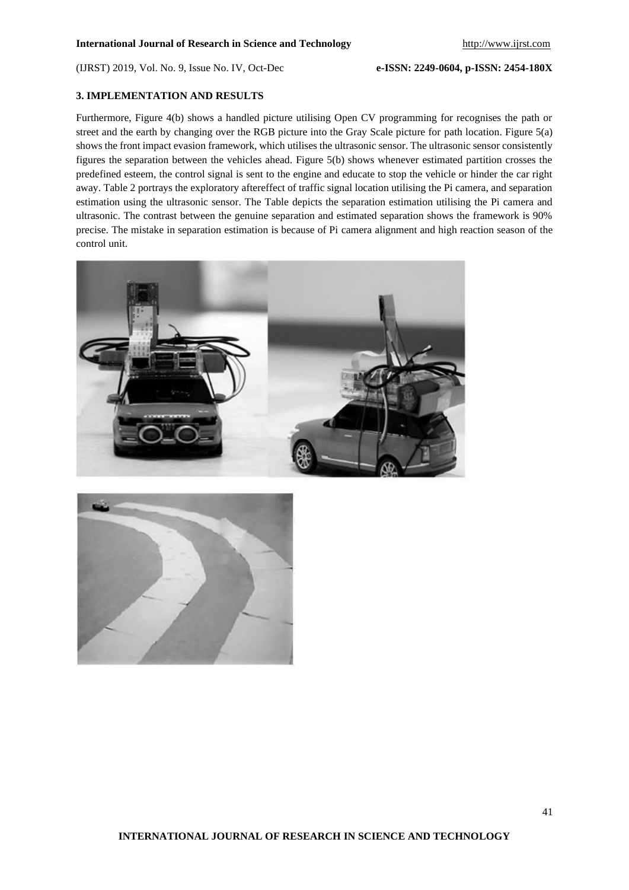# **3. IMPLEMENTATION AND RESULTS**

Furthermore, Figure 4(b) shows a handled picture utilising Open CV programming for recognises the path or street and the earth by changing over the RGB picture into the Gray Scale picture for path location. Figure 5(a) shows the front impact evasion framework, which utilises the ultrasonic sensor. The ultrasonic sensor consistently figures the separation between the vehicles ahead. Figure 5(b) shows whenever estimated partition crosses the predefined esteem, the control signal is sent to the engine and educate to stop the vehicle or hinder the car right away. Table 2 portrays the exploratory aftereffect of traffic signal location utilising the Pi camera, and separation estimation using the ultrasonic sensor. The Table depicts the separation estimation utilising the Pi camera and ultrasonic. The contrast between the genuine separation and estimated separation shows the framework is 90% precise. The mistake in separation estimation is because of Pi camera alignment and high reaction season of the control unit.



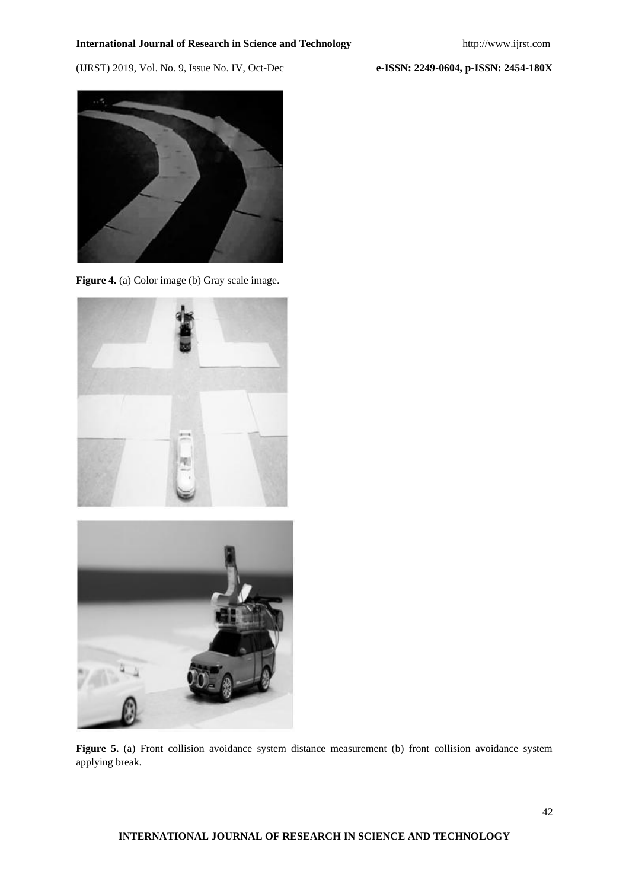# **International Journal of Research in Science and Technology** [http://www.ijrst.com](http://www.ijrst.com/)

(IJRST) 2019, Vol. No. 9, Issue No. IV, Oct-Dec **e-ISSN: 2249-0604, p-ISSN: 2454-180X**



Figure 4. (a) Color image (b) Gray scale image.





Figure 5. (a) Front collision avoidance system distance measurement (b) front collision avoidance system applying break.